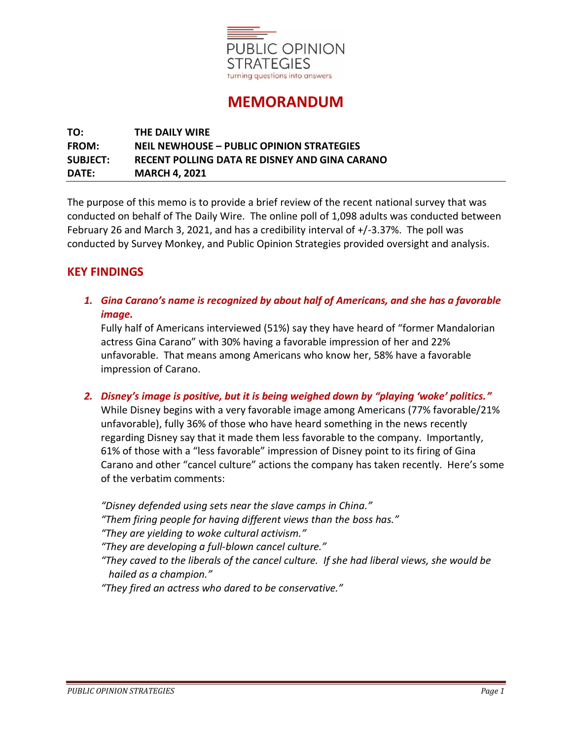

# **MEMORANDUM**

## **TO: THE DAILY WIRE FROM: NEIL NEWHOUSE – PUBLIC OPINION STRATEGIES SUBJECT: RECENT POLLING DATA RE DISNEY AND GINA CARANO DATE: MARCH 4, 2021**

The purpose of this memo is to provide a brief review of the recent national survey that was conducted on behalf of The Daily Wire. The online poll of 1,098 adults was conducted between February 26 and March 3, 2021, and has a credibility interval of +/-3.37%. The poll was conducted by Survey Monkey, and Public Opinion Strategies provided oversight and analysis.

## **KEY FINDINGS**

*1. Gina Carano's name is recognized by about half of Americans, and she has a favorable image.*

Fully half of Americans interviewed (51%) say they have heard of "former Mandalorian actress Gina Carano" with 30% having a favorable impression of her and 22% unfavorable. That means among Americans who know her, 58% have a favorable impression of Carano.

*2. Disney's image is positive, but it is being weighed down by "playing 'woke' politics."* While Disney begins with a very favorable image among Americans (77% favorable/21% unfavorable), fully 36% of those who have heard something in the news recently regarding Disney say that it made them less favorable to the company. Importantly, 61% of those with a "less favorable" impression of Disney point to its firing of Gina Carano and other "cancel culture" actions the company has taken recently. Here's some of the verbatim comments:

*"Disney defended using sets near the slave camps in China." "Them firing people for having different views than the boss has." "They are yielding to woke cultural activism." "They are developing a full-blown cancel culture."*

*"They caved to the liberals of the cancel culture. If she had liberal views, she would be hailed as a champion."*

*"They fired an actress who dared to be conservative."*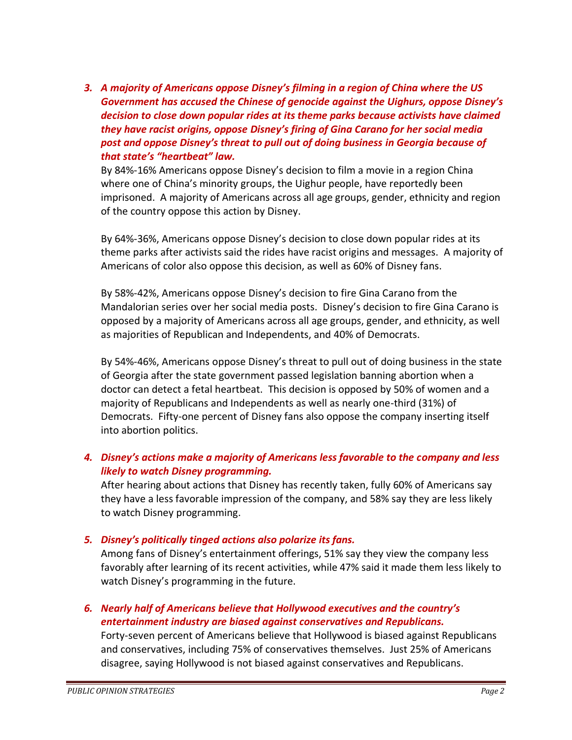*3. A majority of Americans oppose Disney's filming in a region of China where the US Government has accused the Chinese of genocide against the Uighurs, oppose Disney's decision to close down popular rides at its theme parks because activists have claimed they have racist origins, oppose Disney's firing of Gina Carano for her social media post and oppose Disney's threat to pull out of doing business in Georgia because of that state's "heartbeat" law.*

By 84%-16% Americans oppose Disney's decision to film a movie in a region China where one of China's minority groups, the Uighur people, have reportedly been imprisoned. A majority of Americans across all age groups, gender, ethnicity and region of the country oppose this action by Disney.

By 64%-36%, Americans oppose Disney's decision to close down popular rides at its theme parks after activists said the rides have racist origins and messages. A majority of Americans of color also oppose this decision, as well as 60% of Disney fans.

By 58%-42%, Americans oppose Disney's decision to fire Gina Carano from the Mandalorian series over her social media posts. Disney's decision to fire Gina Carano is opposed by a majority of Americans across all age groups, gender, and ethnicity, as well as majorities of Republican and Independents, and 40% of Democrats.

By 54%-46%, Americans oppose Disney's threat to pull out of doing business in the state of Georgia after the state government passed legislation banning abortion when a doctor can detect a fetal heartbeat. This decision is opposed by 50% of women and a majority of Republicans and Independents as well as nearly one-third (31%) of Democrats. Fifty-one percent of Disney fans also oppose the company inserting itself into abortion politics.

## *4. Disney's actions make a majority of Americans less favorable to the company and less likely to watch Disney programming.*

After hearing about actions that Disney has recently taken, fully 60% of Americans say they have a less favorable impression of the company, and 58% say they are less likely to watch Disney programming.

### *5. Disney's politically tinged actions also polarize its fans.*

Among fans of Disney's entertainment offerings, 51% say they view the company less favorably after learning of its recent activities, while 47% said it made them less likely to watch Disney's programming in the future.

## *6. Nearly half of Americans believe that Hollywood executives and the country's entertainment industry are biased against conservatives and Republicans.*

Forty-seven percent of Americans believe that Hollywood is biased against Republicans and conservatives, including 75% of conservatives themselves. Just 25% of Americans disagree, saying Hollywood is not biased against conservatives and Republicans.